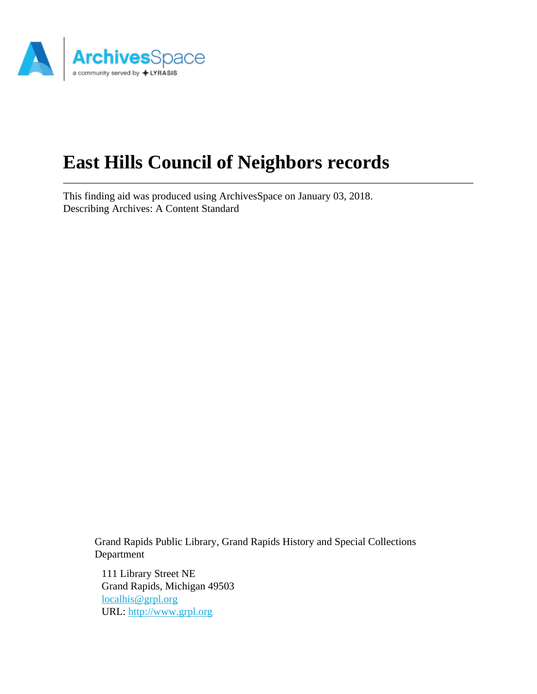

# **East Hills Council of Neighbors records**

This finding aid was produced using ArchivesSpace on January 03, 2018. Describing Archives: A Content Standard

> Grand Rapids Public Library, Grand Rapids History and Special Collections Department

111 Library Street NE Grand Rapids, Michigan 49503 [localhis@grpl.org](mailto:localhis@grpl.org) URL:<http://www.grpl.org>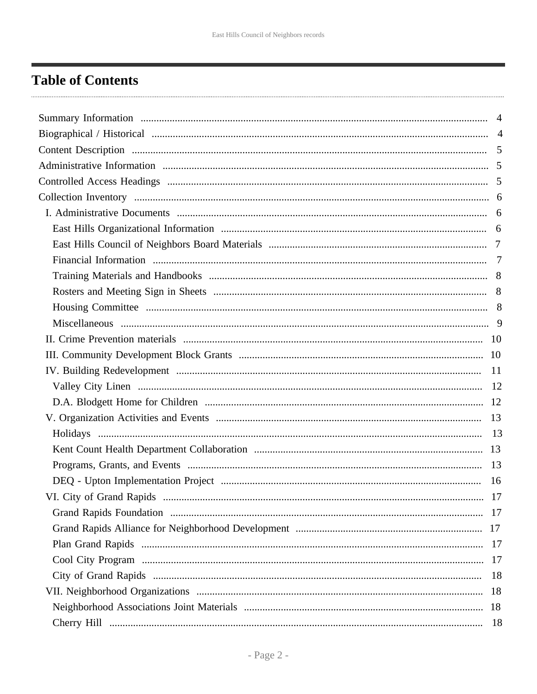## <span id="page-1-0"></span>**Table of Contents**

| 17 |  |
|----|--|
|    |  |
|    |  |
|    |  |
|    |  |
|    |  |
|    |  |
|    |  |
|    |  |
|    |  |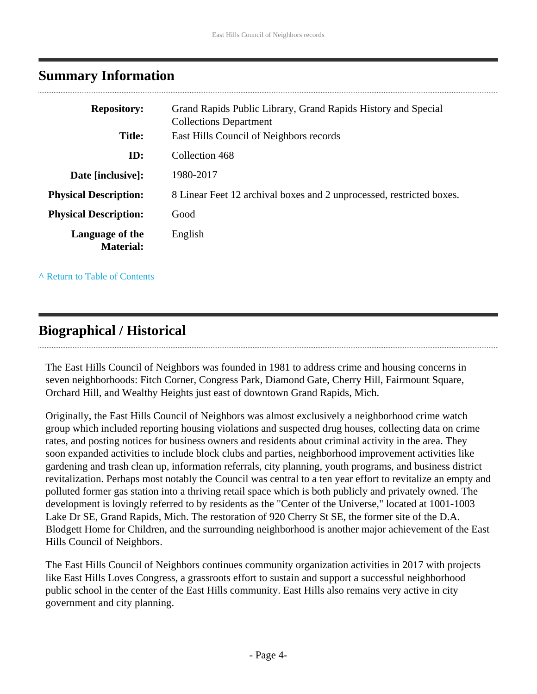### <span id="page-3-0"></span>**Summary Information**

| <b>Repository:</b>                  | Grand Rapids Public Library, Grand Rapids History and Special<br><b>Collections Department</b> |
|-------------------------------------|------------------------------------------------------------------------------------------------|
| <b>Title:</b>                       | East Hills Council of Neighbors records                                                        |
| ID:                                 | Collection 468                                                                                 |
| Date [inclusive]:                   | 1980-2017                                                                                      |
| <b>Physical Description:</b>        | 8 Linear Feet 12 archival boxes and 2 unprocessed, restricted boxes.                           |
| <b>Physical Description:</b>        | Good                                                                                           |
| Language of the<br><b>Material:</b> | English                                                                                        |

**^** [Return to Table of Contents](#page-1-0)

## <span id="page-3-1"></span>**Biographical / Historical**

The East Hills Council of Neighbors was founded in 1981 to address crime and housing concerns in seven neighborhoods: Fitch Corner, Congress Park, Diamond Gate, Cherry Hill, Fairmount Square, Orchard Hill, and Wealthy Heights just east of downtown Grand Rapids, Mich.

Originally, the East Hills Council of Neighbors was almost exclusively a neighborhood crime watch group which included reporting housing violations and suspected drug houses, collecting data on crime rates, and posting notices for business owners and residents about criminal activity in the area. They soon expanded activities to include block clubs and parties, neighborhood improvement activities like gardening and trash clean up, information referrals, city planning, youth programs, and business district revitalization. Perhaps most notably the Council was central to a ten year effort to revitalize an empty and polluted former gas station into a thriving retail space which is both publicly and privately owned. The development is lovingly referred to by residents as the "Center of the Universe," located at 1001-1003 Lake Dr SE, Grand Rapids, Mich. The restoration of 920 Cherry St SE, the former site of the D.A. Blodgett Home for Children, and the surrounding neighborhood is another major achievement of the East Hills Council of Neighbors.

The East Hills Council of Neighbors continues community organization activities in 2017 with projects like East Hills Loves Congress, a grassroots effort to sustain and support a successful neighborhood public school in the center of the East Hills community. East Hills also remains very active in city government and city planning.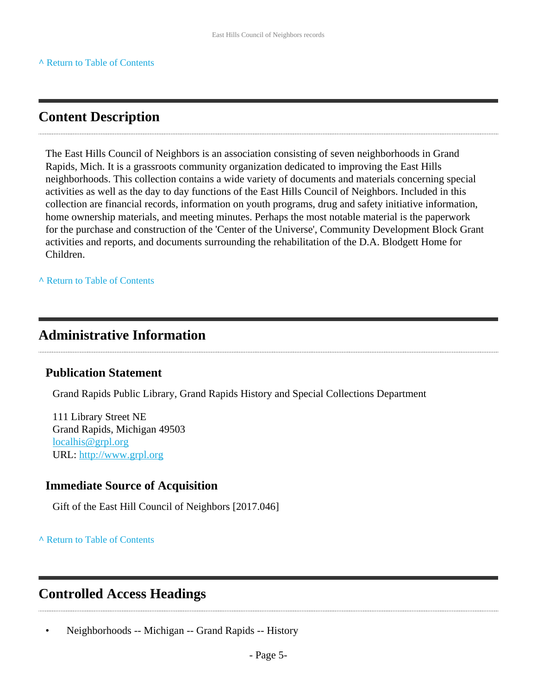## <span id="page-4-0"></span>**Content Description**

The East Hills Council of Neighbors is an association consisting of seven neighborhoods in Grand Rapids, Mich. It is a grassroots community organization dedicated to improving the East Hills neighborhoods. This collection contains a wide variety of documents and materials concerning special activities as well as the day to day functions of the East Hills Council of Neighbors. Included in this collection are financial records, information on youth programs, drug and safety initiative information, home ownership materials, and meeting minutes. Perhaps the most notable material is the paperwork for the purchase and construction of the 'Center of the Universe', Community Development Block Grant activities and reports, and documents surrounding the rehabilitation of the D.A. Blodgett Home for Children.

**^** [Return to Table of Contents](#page-1-0)

### <span id="page-4-1"></span>**Administrative Information**

#### **Publication Statement**

Grand Rapids Public Library, Grand Rapids History and Special Collections Department

111 Library Street NE Grand Rapids, Michigan 49503 [localhis@grpl.org](mailto:localhis@grpl.org) URL:<http://www.grpl.org>

#### **Immediate Source of Acquisition**

Gift of the East Hill Council of Neighbors [2017.046]

**^** [Return to Table of Contents](#page-1-0)

### <span id="page-4-2"></span>**Controlled Access Headings**

• Neighborhoods -- Michigan -- Grand Rapids -- History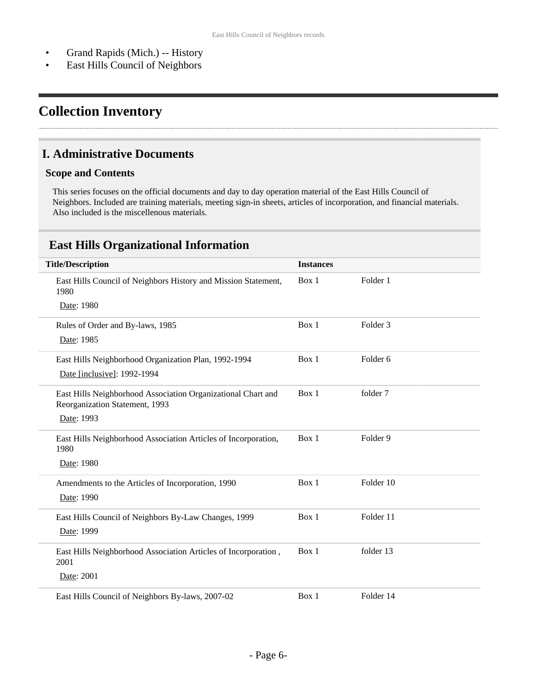- Grand Rapids (Mich.) -- History
- East Hills Council of Neighbors

### <span id="page-5-0"></span>**Collection Inventory**

### <span id="page-5-1"></span>**I. Administrative Documents**

#### **Scope and Contents**

This series focuses on the official documents and day to day operation material of the East Hills Council of Neighbors. Included are training materials, meeting sign-in sheets, articles of incorporation, and financial materials. Also included is the miscellenous materials.

#### <span id="page-5-2"></span>**East Hills Organizational Information**

| <b>Title/Description</b>                                                                                     | <b>Instances</b> |                     |
|--------------------------------------------------------------------------------------------------------------|------------------|---------------------|
| East Hills Council of Neighbors History and Mission Statement,<br>1980<br>Date: 1980                         | Box 1            | Folder 1            |
| Rules of Order and By-laws, 1985<br>Date: 1985                                                               | Box 1            | Folder <sub>3</sub> |
| East Hills Neighborhood Organization Plan, 1992-1994<br>Date [inclusive]: 1992-1994                          | Box 1            | Folder <sub>6</sub> |
| East Hills Neighborhood Association Organizational Chart and<br>Reorganization Statement, 1993<br>Date: 1993 | Box 1            | folder 7            |
| East Hills Neighborhood Association Articles of Incorporation,<br>1980<br>Date: 1980                         | Box 1            | Folder 9            |
| Amendments to the Articles of Incorporation, 1990<br>Date: 1990                                              | Box 1            | Folder 10           |
| East Hills Council of Neighbors By-Law Changes, 1999<br>Date: 1999                                           | Box 1            | Folder 11           |
| East Hills Neighborhood Association Articles of Incorporation,<br>2001<br>Date: 2001                         | Box 1            | folder 13           |
| East Hills Council of Neighbors By-laws, 2007-02                                                             | Box 1            | Folder 14           |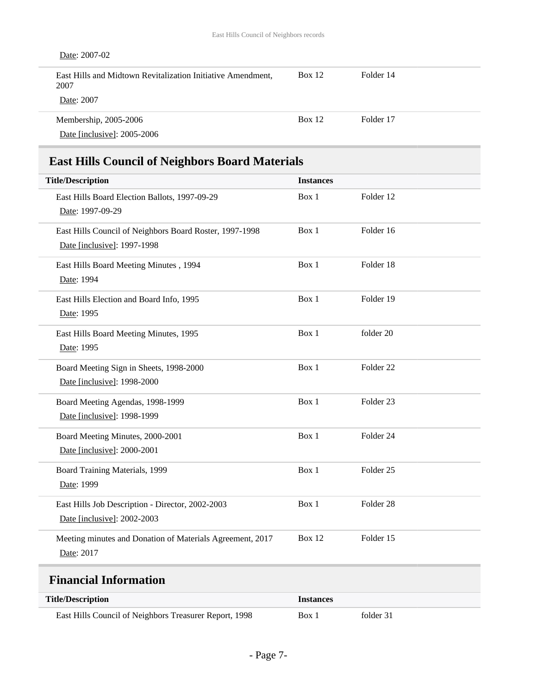| Date: 2007-02                                                                     |        |           |
|-----------------------------------------------------------------------------------|--------|-----------|
| East Hills and Midtown Revitalization Initiative Amendment,<br>2007<br>Date: 2007 | Box 12 | Folder 14 |
| Membership, 2005-2006                                                             | Box 12 | Folder 17 |
| Date [inclusive]: $2005-2006$                                                     |        |           |

## <span id="page-6-0"></span>**East Hills Council of Neighbors Board Materials**

| <b>Title/Description</b>                                                               | <b>Instances</b> |           |  |
|----------------------------------------------------------------------------------------|------------------|-----------|--|
| East Hills Board Election Ballots, 1997-09-29<br>Date: 1997-09-29                      | Box 1            | Folder 12 |  |
| East Hills Council of Neighbors Board Roster, 1997-1998<br>Date [inclusive]: 1997-1998 | Box 1            | Folder 16 |  |
| East Hills Board Meeting Minutes, 1994<br>Date: 1994                                   | Box 1            | Folder 18 |  |
| East Hills Election and Board Info, 1995<br>Date: 1995                                 | Box 1            | Folder 19 |  |
| East Hills Board Meeting Minutes, 1995<br>Date: 1995                                   | Box 1            | folder 20 |  |
| Board Meeting Sign in Sheets, 1998-2000<br>Date [inclusive]: 1998-2000                 | Box 1            | Folder 22 |  |
| Board Meeting Agendas, 1998-1999<br>Date [inclusive]: 1998-1999                        | Box 1            | Folder 23 |  |
| Board Meeting Minutes, 2000-2001<br>Date [inclusive]: 2000-2001                        | Box 1            | Folder 24 |  |
| Board Training Materials, 1999<br>Date: 1999                                           | Box 1            | Folder 25 |  |
| East Hills Job Description - Director, 2002-2003<br>Date [inclusive]: 2002-2003        | Box 1            | Folder 28 |  |
| Meeting minutes and Donation of Materials Agreement, 2017<br>Date: 2017                | <b>Box 12</b>    | Folder 15 |  |

## <span id="page-6-1"></span>**Financial Information**

L

| <b>Title/Description</b>                               | <i><u><b>Instances</b></u></i> |           |
|--------------------------------------------------------|--------------------------------|-----------|
| East Hills Council of Neighbors Treasurer Report, 1998 | Box 1                          | folder 31 |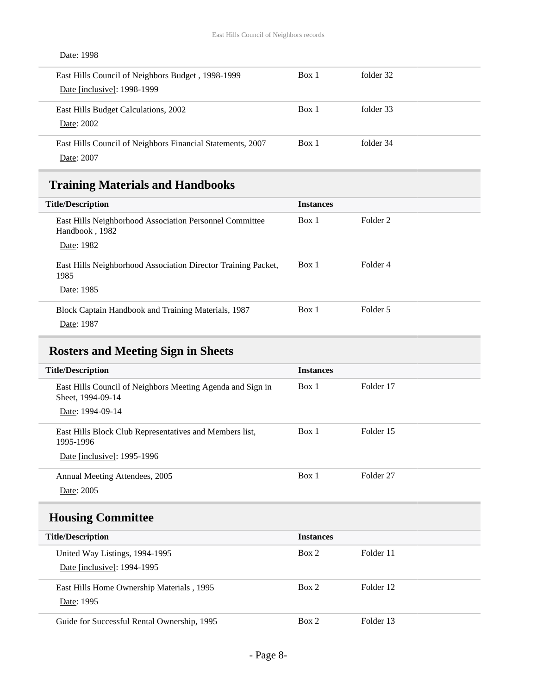### Date: 1998

| East Hills Council of Neighbors Budget, 1998-1999<br>Date [inclusive]: 1998-1999 | Box 1 | folder 32 |
|----------------------------------------------------------------------------------|-------|-----------|
| East Hills Budget Calculations, 2002<br>Date: 2002                               | Box 1 | folder 33 |
| East Hills Council of Neighbors Financial Statements, 2007<br>Date: 2007         | Box 1 | folder 34 |

## <span id="page-7-0"></span>**Training Materials and Handbooks**

| <b>Title/Description</b>                                                                | <b>Instances</b> |          |
|-----------------------------------------------------------------------------------------|------------------|----------|
| East Hills Neighborhood Association Personnel Committee<br>Handbook, 1982<br>Date: 1982 | Box 1            | Folder 2 |
| East Hills Neighborhood Association Director Training Packet,<br>1985<br>Date: 1985     | Box 1            | Folder 4 |
| Block Captain Handbook and Training Materials, 1987<br>Date: 1987                       | Box 1            | Folder 5 |

## <span id="page-7-1"></span>**Rosters and Meeting Sign in Sheets**

<span id="page-7-2"></span>

| <b>Title/Description</b>                                                        | <b>Instances</b> |                      |
|---------------------------------------------------------------------------------|------------------|----------------------|
| East Hills Council of Neighbors Meeting Agenda and Sign in<br>Sheet, 1994-09-14 | Box 1            | Folder 17            |
| Date: 1994-09-14                                                                |                  |                      |
| East Hills Block Club Representatives and Members list,<br>1995-1996            | Box 1            | Folder 15            |
| Date [inclusive]: 1995-1996                                                     |                  |                      |
| Annual Meeting Attendees, 2005                                                  | Box 1            | Folder <sub>27</sub> |
| Date: 2005                                                                      |                  |                      |
| <b>Housing Committee</b>                                                        |                  |                      |
| <b>Title/Description</b>                                                        | <b>Instances</b> |                      |
| United Way Listings, 1994-1995                                                  | Box 2            | Folder 11            |
| Date [inclusive]: 1994-1995                                                     |                  |                      |
| East Hills Home Ownership Materials, 1995                                       | Box 2            | Folder 12            |
| Date: 1995                                                                      |                  |                      |
| Guide for Successful Rental Ownership, 1995                                     |                  |                      |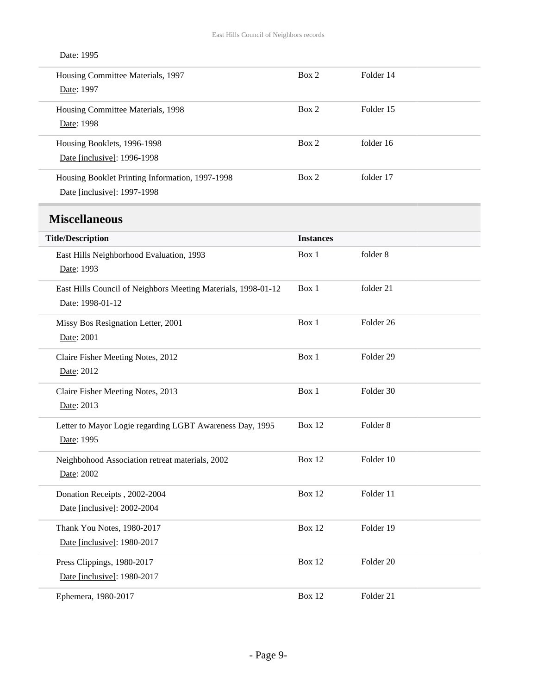<span id="page-8-0"></span>

| Date: 1995                                                    |                  |                      |  |
|---------------------------------------------------------------|------------------|----------------------|--|
| Housing Committee Materials, 1997                             | Box 2            | Folder 14            |  |
| Date: 1997                                                    |                  |                      |  |
| Housing Committee Materials, 1998                             | Box 2            | Folder 15            |  |
| Date: 1998                                                    |                  |                      |  |
| Housing Booklets, 1996-1998                                   | Box 2            | folder 16            |  |
| Date [inclusive]: 1996-1998                                   |                  |                      |  |
| Housing Booklet Printing Information, 1997-1998               | Box 2            | folder 17            |  |
| Date [inclusive]: 1997-1998                                   |                  |                      |  |
| <b>Miscellaneous</b>                                          |                  |                      |  |
| <b>Title/Description</b>                                      | <b>Instances</b> |                      |  |
| East Hills Neighborhood Evaluation, 1993                      | Box 1            | folder 8             |  |
| Date: 1993                                                    |                  |                      |  |
| East Hills Council of Neighbors Meeting Materials, 1998-01-12 | Box 1            | folder 21            |  |
| Date: 1998-01-12                                              |                  |                      |  |
| Missy Bos Resignation Letter, 2001                            | Box 1            | Folder <sub>26</sub> |  |
| Date: 2001                                                    |                  |                      |  |
| Claire Fisher Meeting Notes, 2012                             | Box 1            | Folder <sub>29</sub> |  |
| Date: 2012                                                    |                  |                      |  |
| Claire Fisher Meeting Notes, 2013                             | Box 1            | Folder 30            |  |
| Date: 2013                                                    |                  |                      |  |
| Letter to Mayor Logie regarding LGBT Awareness Day, 1995      | Box 12           | Folder <sub>8</sub>  |  |
| Date: 1995                                                    |                  |                      |  |
| Neighbohood Association retreat materials, 2002               | Box 12           | Folder 10            |  |
| Date: 2002                                                    |                  |                      |  |
| Donation Receipts, 2002-2004                                  | <b>Box 12</b>    | Folder 11            |  |
| Date [inclusive]: 2002-2004                                   |                  |                      |  |
| Thank You Notes, 1980-2017                                    | <b>Box 12</b>    | Folder 19            |  |
| Date [inclusive]: 1980-2017                                   |                  |                      |  |
| Press Clippings, 1980-2017                                    | <b>Box 12</b>    | Folder 20            |  |
| Date [inclusive]: 1980-2017                                   |                  |                      |  |
| Ephemera, 1980-2017                                           | <b>Box 12</b>    | Folder 21            |  |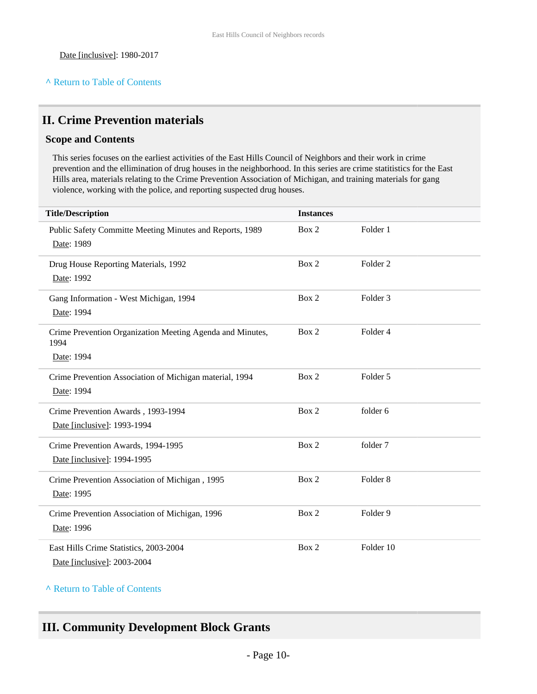#### **^** [Return to Table of Contents](#page-1-0)

### <span id="page-9-0"></span>**II. Crime Prevention materials**

#### **Scope and Contents**

This series focuses on the earliest activities of the East Hills Council of Neighbors and their work in crime prevention and the ellimination of drug houses in the neighborhood. In this series are crime statitistics for the East Hills area, materials relating to the Crime Prevention Association of Michigan, and training materials for gang violence, working with the police, and reporting suspected drug houses.

| <b>Title/Description</b>                                                        | <b>Instances</b> |                     |
|---------------------------------------------------------------------------------|------------------|---------------------|
| Public Safety Committe Meeting Minutes and Reports, 1989<br>Date: 1989          | Box 2            | Folder 1            |
| Drug House Reporting Materials, 1992<br>Date: 1992                              | Box 2            | Folder <sub>2</sub> |
| Gang Information - West Michigan, 1994<br>Date: 1994                            | Box 2            | Folder <sub>3</sub> |
| Crime Prevention Organization Meeting Agenda and Minutes,<br>1994<br>Date: 1994 | Box 2            | Folder 4            |
| Crime Prevention Association of Michigan material, 1994<br>Date: 1994           | Box 2            | Folder 5            |
| Crime Prevention Awards, 1993-1994<br>Date [inclusive]: 1993-1994               | Box 2            | folder 6            |
| Crime Prevention Awards, 1994-1995<br>Date [inclusive]: 1994-1995               | Box 2            | folder 7            |
| Crime Prevention Association of Michigan, 1995<br>Date: 1995                    | Box 2            | Folder <sub>8</sub> |
| Crime Prevention Association of Michigan, 1996<br>Date: 1996                    | Box 2            | Folder 9            |
| East Hills Crime Statistics, 2003-2004<br>Date [inclusive]: 2003-2004           | Box 2            | Folder 10           |

**^** [Return to Table of Contents](#page-1-0)

### <span id="page-9-1"></span>**III. Community Development Block Grants**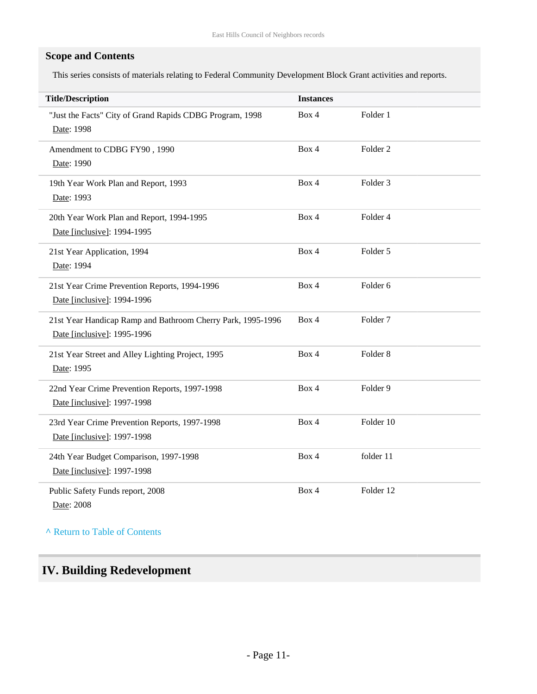### **Scope and Contents**

This series consists of materials relating to Federal Community Development Block Grant activities and reports.

| <b>Title/Description</b>                                                                   | <b>Instances</b> |                     |
|--------------------------------------------------------------------------------------------|------------------|---------------------|
| "Just the Facts" City of Grand Rapids CDBG Program, 1998<br>Date: 1998                     | Box 4            | Folder 1            |
| Amendment to CDBG FY90, 1990<br>Date: 1990                                                 | Box 4            | Folder <sub>2</sub> |
| 19th Year Work Plan and Report, 1993<br>Date: 1993                                         | Box 4            | Folder <sub>3</sub> |
| 20th Year Work Plan and Report, 1994-1995<br>Date [inclusive]: 1994-1995                   | Box 4            | Folder 4            |
| 21st Year Application, 1994<br>Date: 1994                                                  | Box 4            | Folder 5            |
| 21st Year Crime Prevention Reports, 1994-1996<br>Date [inclusive]: 1994-1996               | Box 4            | Folder 6            |
| 21st Year Handicap Ramp and Bathroom Cherry Park, 1995-1996<br>Date [inclusive]: 1995-1996 | Box 4            | Folder <sub>7</sub> |
| 21st Year Street and Alley Lighting Project, 1995<br>Date: 1995                            | Box 4            | Folder <sub>8</sub> |
| 22nd Year Crime Prevention Reports, 1997-1998<br>Date [inclusive]: 1997-1998               | Box 4            | Folder 9            |
| 23rd Year Crime Prevention Reports, 1997-1998<br>Date [inclusive]: 1997-1998               | Box 4            | Folder 10           |
| 24th Year Budget Comparison, 1997-1998<br>Date [inclusive]: 1997-1998                      | Box 4            | folder 11           |
| Public Safety Funds report, 2008<br>Date: 2008                                             | Box 4            | Folder 12           |

**^** [Return to Table of Contents](#page-1-0)

## <span id="page-10-0"></span>**IV. Building Redevelopment**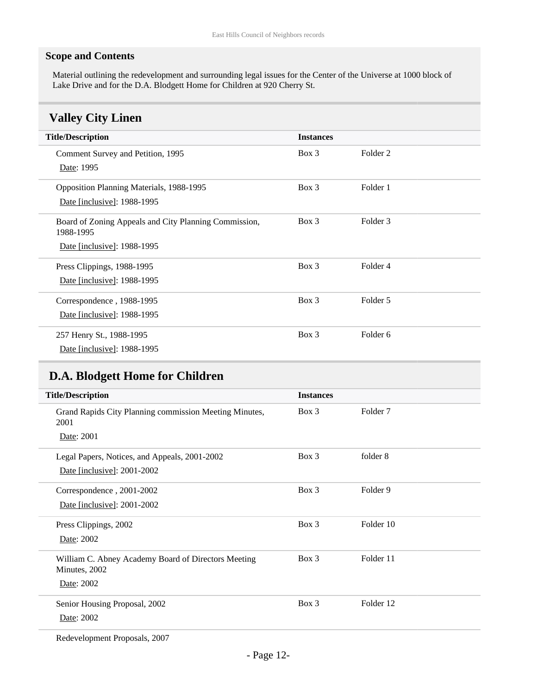#### **Scope and Contents**

Material outlining the redevelopment and surrounding legal issues for the Center of the Universe at 1000 block of Lake Drive and for the D.A. Blodgett Home for Children at 920 Cherry St.

### <span id="page-11-0"></span>**Valley City Linen**

| <b>Title/Description</b>                                           | <b>Instances</b> |          |
|--------------------------------------------------------------------|------------------|----------|
| Comment Survey and Petition, 1995                                  | $Box\ 3$         | Folder 2 |
| Date: 1995                                                         |                  |          |
| <b>Opposition Planning Materials, 1988-1995</b>                    | $Box\ 3$         | Folder 1 |
| Date [inclusive]: 1988-1995                                        |                  |          |
| Board of Zoning Appeals and City Planning Commission,<br>1988-1995 | Box 3            | Folder 3 |
| Date [inclusive]: 1988-1995                                        |                  |          |
| Press Clippings, 1988-1995                                         | Box 3            | Folder 4 |
| Date [inclusive]: 1988-1995                                        |                  |          |
| Correspondence, 1988-1995                                          | $Box\ 3$         | Folder 5 |
| Date [inclusive]: 1988-1995                                        |                  |          |
| 257 Henry St., 1988-1995                                           | Box 3            | Folder 6 |
| Date [inclusive]: 1988-1995                                        |                  |          |

### <span id="page-11-1"></span>**D.A. Blodgett Home for Children**

| <b>Title/Description</b>                                                           | <b>Instances</b> |                     |
|------------------------------------------------------------------------------------|------------------|---------------------|
| Grand Rapids City Planning commission Meeting Minutes,<br>2001<br>Date: 2001       | Box 3            | Folder <sub>7</sub> |
| Legal Papers, Notices, and Appeals, 2001-2002<br>Date [inclusive]: 2001-2002       | $Box\ 3$         | folder 8            |
| Correspondence, 2001-2002<br>Date [inclusive]: 2001-2002                           | Box 3            | Folder 9            |
| Press Clippings, 2002<br>Date: 2002                                                | $Box\ 3$         | Folder 10           |
| William C. Abney Academy Board of Directors Meeting<br>Minutes, 2002<br>Date: 2002 | Box 3            | Folder 11           |
| Senior Housing Proposal, 2002<br>Date: 2002                                        | Box 3            | Folder 12           |
|                                                                                    |                  |                     |

Redevelopment Proposals, 2007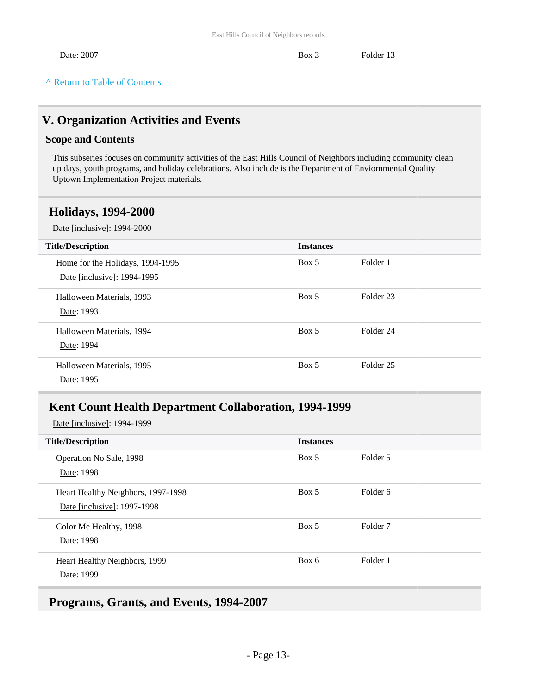$\frac{\text{Date: }2007}{\text{Date: }2007}$ 

#### **^** [Return to Table of Contents](#page-1-0)

#### <span id="page-12-0"></span>**V. Organization Activities and Events**

#### **Scope and Contents**

This subseries focuses on community activities of the East Hills Council of Neighbors including community clean up days, youth programs, and holiday celebrations. Also include is the Department of Enviornmental Quality Uptown Implementation Project materials.

#### <span id="page-12-1"></span>**Holidays, 1994-2000**

Date [inclusive]: 1994-2000

| <b>Title/Description</b>                                        | <b>Instances</b> |           |
|-----------------------------------------------------------------|------------------|-----------|
| Home for the Holidays, 1994-1995<br>Date [inclusive]: 1994-1995 | Box 5            | Folder 1  |
| Halloween Materials, 1993<br>Date: 1993                         | Box 5            | Folder 23 |
| Halloween Materials, 1994<br>Date: 1994                         | Box 5            | Folder 24 |
| Halloween Materials, 1995<br>Date: 1995                         | Box 5            | Folder 25 |

#### <span id="page-12-2"></span>**Kent Count Health Department Collaboration, 1994-1999**

Date [inclusive]: 1994-1999

| <b>Title/Description</b>                                          | <b>Instances</b> |                     |
|-------------------------------------------------------------------|------------------|---------------------|
| Operation No Sale, 1998<br>Date: 1998                             | Box 5            | Folder 5            |
| Heart Healthy Neighbors, 1997-1998<br>Date [inclusive]: 1997-1998 | Box 5            | Folder 6            |
| Color Me Healthy, 1998<br>Date: 1998                              | Box 5            | Folder <sub>7</sub> |
| Heart Healthy Neighbors, 1999<br>Date: 1999                       | Box 6            | Folder 1            |

#### <span id="page-12-3"></span>**Programs, Grants, and Events, 1994-2007**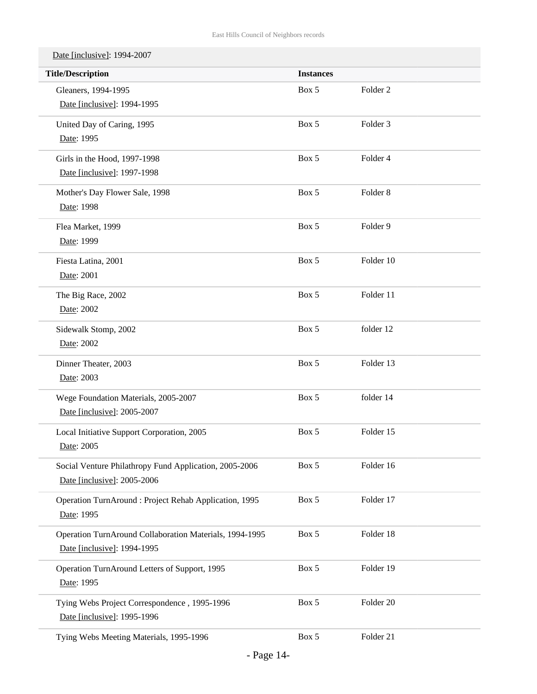Date [inclusive]: 1994-2007

| <b>Title/Description</b>                                | <b>Instances</b> |                     |  |
|---------------------------------------------------------|------------------|---------------------|--|
| Gleaners, 1994-1995                                     | Box 5            | Folder <sub>2</sub> |  |
| Date [inclusive]: 1994-1995                             |                  |                     |  |
| United Day of Caring, 1995                              | Box 5            | Folder <sub>3</sub> |  |
| Date: 1995                                              |                  |                     |  |
| Girls in the Hood, 1997-1998                            | Box 5            | Folder 4            |  |
| Date [inclusive]: 1997-1998                             |                  |                     |  |
| Mother's Day Flower Sale, 1998                          | Box 5            | Folder <sub>8</sub> |  |
| Date: 1998                                              |                  |                     |  |
| Flea Market, 1999                                       | Box 5            | Folder 9            |  |
| Date: 1999                                              |                  |                     |  |
| Fiesta Latina, 2001                                     | Box 5            | Folder 10           |  |
| Date: 2001                                              |                  |                     |  |
| The Big Race, 2002                                      | Box 5            | Folder 11           |  |
| Date: 2002                                              |                  |                     |  |
| Sidewalk Stomp, 2002                                    | Box 5            | folder 12           |  |
| Date: 2002                                              |                  |                     |  |
| Dinner Theater, 2003                                    | Box 5            | Folder 13           |  |
| Date: 2003                                              |                  |                     |  |
| Wege Foundation Materials, 2005-2007                    | Box 5            | folder 14           |  |
| Date [inclusive]: 2005-2007                             |                  |                     |  |
| Local Initiative Support Corporation, 2005              | Box 5            | Folder 15           |  |
| Date: 2005                                              |                  |                     |  |
| Social Venture Philathropy Fund Application, 2005-2006  | Box 5            | Folder 16           |  |
| Date [inclusive]: 2005-2006                             |                  |                     |  |
| Operation TurnAround: Project Rehab Application, 1995   | Box 5            | Folder 17           |  |
| Date: 1995                                              |                  |                     |  |
| Operation TurnAround Collaboration Materials, 1994-1995 | Box 5            | Folder 18           |  |
| Date [inclusive]: 1994-1995                             |                  |                     |  |
| Operation TurnAround Letters of Support, 1995           | Box 5            | Folder 19           |  |
| Date: 1995                                              |                  |                     |  |
| Tying Webs Project Correspondence, 1995-1996            | Box 5            | Folder 20           |  |
| Date [inclusive]: 1995-1996                             |                  |                     |  |
| Tying Webs Meeting Materials, 1995-1996                 | Box 5            | Folder 21           |  |
|                                                         |                  |                     |  |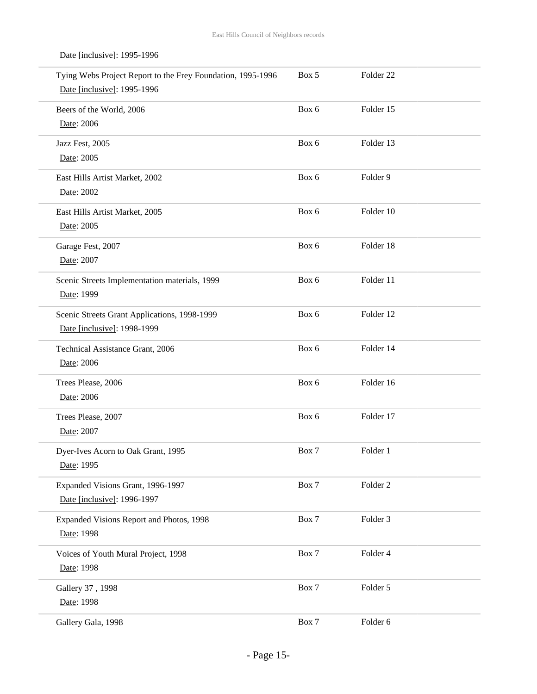| Tying Webs Project Report to the Frey Foundation, 1995-1996<br>Date [inclusive]: 1995-1996 | Box 5 | Folder <sub>22</sub> |  |
|--------------------------------------------------------------------------------------------|-------|----------------------|--|
| Beers of the World, 2006<br>Date: 2006                                                     | Box 6 | Folder 15            |  |
| Jazz Fest, 2005<br>Date: 2005                                                              | Box 6 | Folder 13            |  |
| East Hills Artist Market, 2002<br>Date: 2002                                               | Box 6 | Folder 9             |  |
| East Hills Artist Market, 2005<br>Date: 2005                                               | Box 6 | Folder 10            |  |
| Garage Fest, 2007<br>Date: 2007                                                            | Box 6 | Folder 18            |  |
| Scenic Streets Implementation materials, 1999<br>Date: 1999                                | Box 6 | Folder 11            |  |
| Scenic Streets Grant Applications, 1998-1999<br>Date [inclusive]: 1998-1999                | Box 6 | Folder 12            |  |
| Technical Assistance Grant, 2006<br>Date: 2006                                             | Box 6 | Folder 14            |  |
| Trees Please, 2006<br>Date: 2006                                                           | Box 6 | Folder 16            |  |
| Trees Please, 2007<br>Date: 2007                                                           | Box 6 | Folder 17            |  |
| Dyer-Ives Acorn to Oak Grant, 1995<br>Date: 1995                                           | Box 7 | Folder 1             |  |
| Expanded Visions Grant, 1996-1997<br>Date [inclusive]: 1996-1997                           | Box 7 | Folder <sub>2</sub>  |  |
| Expanded Visions Report and Photos, 1998<br>Date: 1998                                     | Box 7 | Folder 3             |  |
| Voices of Youth Mural Project, 1998<br>Date: 1998                                          | Box 7 | Folder 4             |  |
| Gallery 37, 1998<br>Date: 1998                                                             | Box 7 | Folder 5             |  |
| Gallery Gala, 1998                                                                         | Box 7 | Folder 6             |  |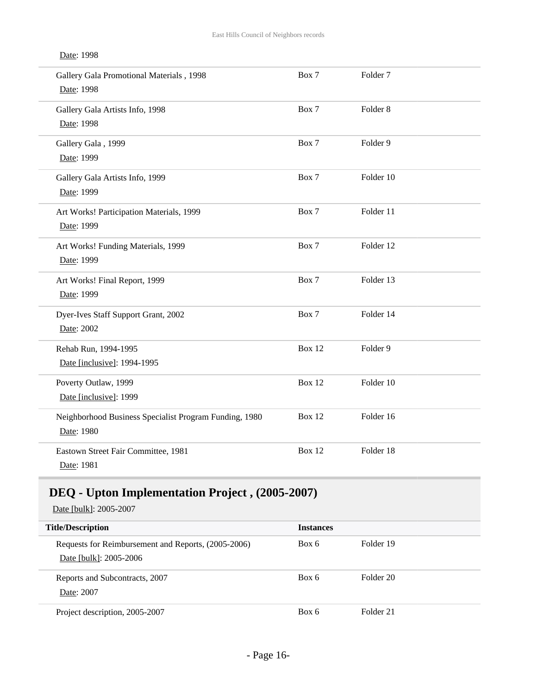| Date: 1998                                                           |               |                     |  |
|----------------------------------------------------------------------|---------------|---------------------|--|
| Gallery Gala Promotional Materials, 1998<br>Date: 1998               | Box 7         | Folder <sub>7</sub> |  |
| Gallery Gala Artists Info, 1998<br>Date: 1998                        | Box 7         | Folder <sub>8</sub> |  |
| Gallery Gala, 1999<br>Date: 1999                                     | Box 7         | Folder 9            |  |
| Gallery Gala Artists Info, 1999<br>Date: 1999                        | Box 7         | Folder 10           |  |
| Art Works! Participation Materials, 1999<br>Date: 1999               | Box 7         | Folder 11           |  |
| Art Works! Funding Materials, 1999<br>Date: 1999                     | Box 7         | Folder 12           |  |
| Art Works! Final Report, 1999<br>Date: 1999                          | Box 7         | Folder 13           |  |
| Dyer-Ives Staff Support Grant, 2002<br>Date: 2002                    | Box 7         | Folder 14           |  |
| Rehab Run, 1994-1995<br>Date [inclusive]: 1994-1995                  | <b>Box 12</b> | Folder 9            |  |
| Poverty Outlaw, 1999<br>Date [inclusive]: 1999                       | <b>Box 12</b> | Folder 10           |  |
| Neighborhood Business Specialist Program Funding, 1980<br>Date: 1980 | <b>Box 12</b> | Folder 16           |  |
| Eastown Street Fair Committee, 1981<br>Date: 1981                    | Box 12        | Folder 18           |  |

## <span id="page-15-0"></span>**DEQ - Upton Implementation Project , (2005-2007)**

Date [bulk]: 2005-2007

| <b>Title/Description</b>                                                      | <b>Instances</b> |           |
|-------------------------------------------------------------------------------|------------------|-----------|
| Requests for Reimbursement and Reports, (2005-2006)<br>Date [bulk]: 2005-2006 | Box 6            | Folder 19 |
| Reports and Subcontracts, 2007<br>Date: 2007                                  | Box 6            | Folder 20 |
| Project description, 2005-2007                                                | Box 6            | Folder 21 |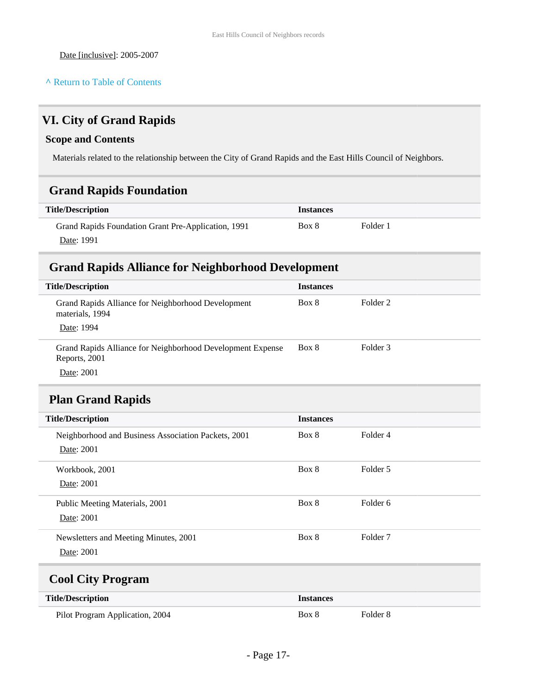#### **^** [Return to Table of Contents](#page-1-0)

### <span id="page-16-0"></span>**VI. City of Grand Rapids**

#### **Scope and Contents**

Materials related to the relationship between the City of Grand Rapids and the East Hills Council of Neighbors.

#### <span id="page-16-1"></span>**Grand Rapids Foundation**

| <b>Title/Description</b>                            | <b>Instances</b> |          |  |
|-----------------------------------------------------|------------------|----------|--|
| Grand Rapids Foundation Grant Pre-Application, 1991 | Box 8            | Folder 1 |  |
| Date: 1991                                          |                  |          |  |

### <span id="page-16-2"></span>**Grand Rapids Alliance for Neighborhood Development**

| <b>Title/Description</b>                                                            | <b>Instances</b> |          |
|-------------------------------------------------------------------------------------|------------------|----------|
| Grand Rapids Alliance for Neighborhood Development<br>materials, 1994<br>Date: 1994 | Box 8            | Folder 2 |
| Grand Rapids Alliance for Neighborhood Development Expense<br>Reports, 2001         | Box 8            | Folder 3 |
| Date: 2001                                                                          |                  |          |

#### <span id="page-16-3"></span>**Plan Grand Rapids**

| <b>Title/Description</b>                                          | <b>Instances</b> |                     |
|-------------------------------------------------------------------|------------------|---------------------|
| Neighborhood and Business Association Packets, 2001<br>Date: 2001 | Box 8            | Folder 4            |
|                                                                   |                  |                     |
| Workbook, 2001                                                    | Box 8            | Folder 5            |
| Date: 2001                                                        |                  |                     |
| Public Meeting Materials, 2001                                    | Box 8            | Folder 6            |
| Date: 2001                                                        |                  |                     |
| Newsletters and Meeting Minutes, 2001                             | Box 8            | Folder <sub>7</sub> |
| Date: 2001                                                        |                  |                     |
| <b>Cool City Program</b>                                          |                  |                     |
| <b>Title/Description</b>                                          | <b>Instances</b> |                     |

<span id="page-16-4"></span>

| Pilot Program Application, 2004 | Box 8 | Folder 8 |
|---------------------------------|-------|----------|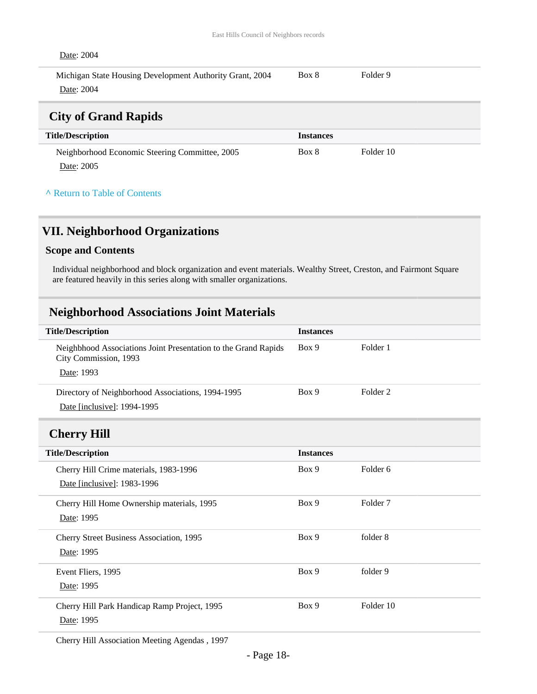#### Date: 2004

| Michigan State Housing Development Authority Grant, 2004 | Box 8 | Folder 9 |
|----------------------------------------------------------|-------|----------|
| Date: 2004                                               |       |          |

### <span id="page-17-0"></span>**City of Grand Rapids**

| <b>Title/Description</b>                       | <b>Instances</b> |           |
|------------------------------------------------|------------------|-----------|
| Neighborhood Economic Steering Committee, 2005 | Box 8            | Folder 10 |
| Date: 2005                                     |                  |           |

#### **^** [Return to Table of Contents](#page-1-0)

### <span id="page-17-1"></span>**VII. Neighborhood Organizations**

#### **Scope and Contents**

Individual neighborhood and block organization and event materials. Wealthy Street, Creston, and Fairmont Square are featured heavily in this series along with smaller organizations.

#### <span id="page-17-2"></span>**Neighborhood Associations Joint Materials**

<span id="page-17-3"></span>

| <b>Title/Description</b>                                                                | <b>Instances</b> |                     |
|-----------------------------------------------------------------------------------------|------------------|---------------------|
| Neighbhood Associations Joint Presentation to the Grand Rapids<br>City Commission, 1993 | Box 9            | Folder 1            |
| Date: 1993                                                                              |                  |                     |
| Directory of Neighborhood Associations, 1994-1995                                       | Box 9            | Folder <sub>2</sub> |
| Date [inclusive]: 1994-1995                                                             |                  |                     |
| <b>Cherry Hill</b>                                                                      |                  |                     |
| <b>Title/Description</b>                                                                | <b>Instances</b> |                     |
| Cherry Hill Crime materials, 1983-1996                                                  | Box 9            | Folder <sub>6</sub> |
| Date [inclusive]: 1983-1996                                                             |                  |                     |
| Cherry Hill Home Ownership materials, 1995                                              | Box 9            | Folder <sub>7</sub> |
| Date: 1995                                                                              |                  |                     |
| Cherry Street Business Association, 1995                                                | Box 9            | folder 8            |
| Date: 1995                                                                              |                  |                     |
| Event Fliers, 1995                                                                      | Box 9            | folder 9            |
| Date: 1995                                                                              |                  |                     |
| Cherry Hill Park Handicap Ramp Project, 1995                                            | Box 9            | Folder 10           |
| Date: 1995                                                                              |                  |                     |

Cherry Hill Association Meeting Agendas , 1997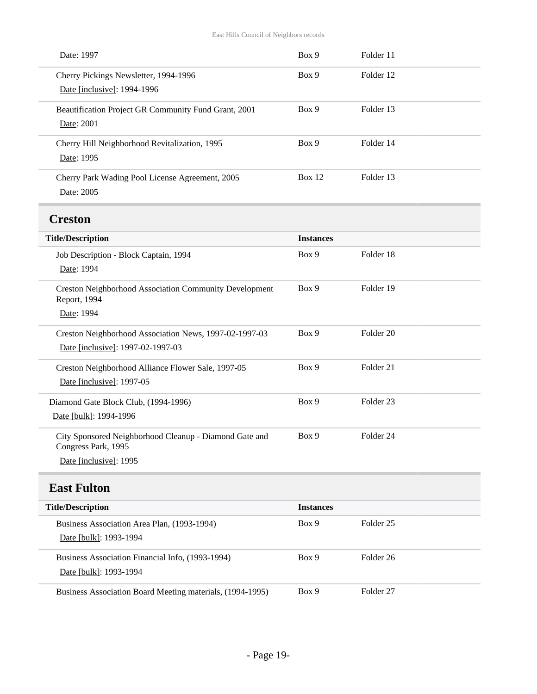<span id="page-18-1"></span><span id="page-18-0"></span>

| Date: 1997                                                                    | Box 9            | Folder 11            |
|-------------------------------------------------------------------------------|------------------|----------------------|
| Cherry Pickings Newsletter, 1994-1996                                         | Box 9            | Folder 12            |
| Date [inclusive]: 1994-1996                                                   |                  |                      |
| Beautification Project GR Community Fund Grant, 2001                          | Box 9            | Folder 13            |
| Date: 2001                                                                    |                  |                      |
| Cherry Hill Neighborhood Revitalization, 1995                                 | Box 9            | Folder 14            |
| Date: 1995                                                                    |                  |                      |
| Cherry Park Wading Pool License Agreement, 2005                               | <b>Box 12</b>    | Folder 13            |
| Date: 2005                                                                    |                  |                      |
| <b>Creston</b>                                                                |                  |                      |
| <b>Title/Description</b>                                                      | <b>Instances</b> |                      |
| Job Description - Block Captain, 1994                                         | Box 9            | Folder 18            |
| Date: 1994                                                                    |                  |                      |
| Creston Neighborhood Association Community Development<br>Report, 1994        | Box 9            | Folder 19            |
| Date: 1994                                                                    |                  |                      |
| Creston Neighborhood Association News, 1997-02-1997-03                        | Box 9            | Folder 20            |
| Date [inclusive]: 1997-02-1997-03                                             |                  |                      |
| Creston Neighborhood Alliance Flower Sale, 1997-05                            | Box 9            | Folder 21            |
| Date [inclusive]: 1997-05                                                     |                  |                      |
| Diamond Gate Block Club, (1994-1996)                                          | Box 9            | Folder <sub>23</sub> |
| Date [bulk]: 1994-1996                                                        |                  |                      |
| City Sponsored Neighborhood Cleanup - Diamond Gate and<br>Congress Park, 1995 | Box 9            | Folder <sub>24</sub> |
| Date [inclusive]: 1995                                                        |                  |                      |
| <b>East Fulton</b>                                                            |                  |                      |
| <b>Title/Description</b>                                                      | <b>Instances</b> |                      |
| Business Association Area Plan, (1993-1994)                                   | Box 9            | Folder 25            |
| Date [bulk]: 1993-1994                                                        |                  |                      |
| Business Association Financial Info, (1993-1994)                              | Box 9            | Folder 26            |
| Date [bulk]: 1993-1994                                                        |                  |                      |
| Business Association Board Meeting materials, (1994-1995)                     | Box 9            | Folder 27            |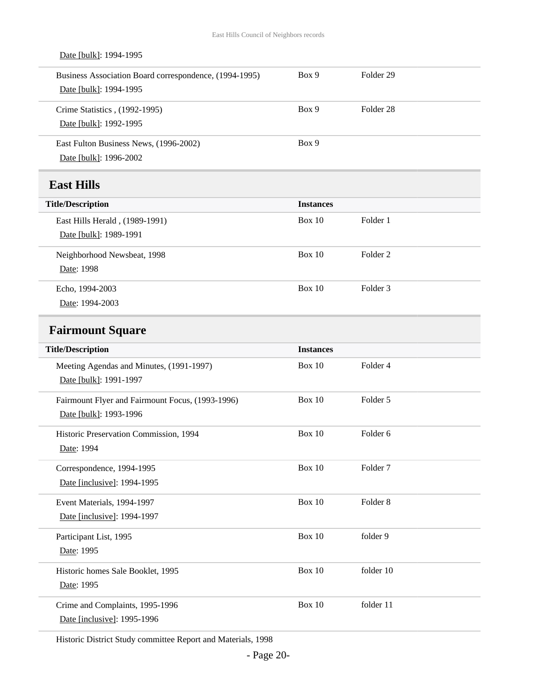<span id="page-19-1"></span><span id="page-19-0"></span>

| Date [bulk]: 1994-1995                                                           |                  |                      |  |
|----------------------------------------------------------------------------------|------------------|----------------------|--|
| Business Association Board correspondence, (1994-1995)<br>Date [bulk]: 1994-1995 | Box 9            | Folder 29            |  |
| Crime Statistics , (1992-1995)                                                   | Box 9            | Folder <sub>28</sub> |  |
| Date [bulk]: 1992-1995                                                           |                  |                      |  |
| East Fulton Business News, (1996-2002)                                           | Box 9            |                      |  |
| Date [bulk]: 1996-2002                                                           |                  |                      |  |
| <b>East Hills</b>                                                                |                  |                      |  |
| <b>Title/Description</b>                                                         | <b>Instances</b> |                      |  |
| East Hills Herald, (1989-1991)                                                   | <b>Box 10</b>    | Folder 1             |  |
| Date [bulk]: 1989-1991                                                           |                  |                      |  |
| Neighborhood Newsbeat, 1998                                                      | <b>Box 10</b>    | Folder <sub>2</sub>  |  |
| Date: 1998                                                                       |                  |                      |  |
| Echo, 1994-2003                                                                  | <b>Box 10</b>    | Folder <sub>3</sub>  |  |
| Date: 1994-2003                                                                  |                  |                      |  |
| <b>Fairmount Square</b>                                                          |                  |                      |  |
| <b>Title/Description</b>                                                         | <b>Instances</b> |                      |  |
|                                                                                  | <b>Box 10</b>    | Folder 4             |  |
| Meeting Agendas and Minutes, (1991-1997)                                         |                  |                      |  |
| Date [bulk]: 1991-1997                                                           |                  |                      |  |
| Fairmount Flyer and Fairmount Focus, (1993-1996)                                 | <b>Box 10</b>    | Folder 5             |  |
| Date [bulk]: 1993-1996                                                           |                  |                      |  |
| Historic Preservation Commission, 1994                                           | Box 10           | Folder 6             |  |
| Date: 1994                                                                       |                  |                      |  |
| Correspondence, 1994-1995                                                        | <b>Box 10</b>    | Folder <sub>7</sub>  |  |
| Date [inclusive]: 1994-1995                                                      |                  |                      |  |
| Event Materials, 1994-1997                                                       | <b>Box 10</b>    | Folder <sub>8</sub>  |  |
| Date [inclusive]: 1994-1997                                                      |                  |                      |  |
| Participant List, 1995                                                           | Box $10$         | folder 9             |  |
| Date: 1995                                                                       |                  |                      |  |
| Historic homes Sale Booklet, 1995                                                | <b>Box 10</b>    | folder 10            |  |
| Date: 1995                                                                       |                  |                      |  |
| Crime and Complaints, 1995-1996                                                  | <b>Box 10</b>    | folder 11            |  |

Historic District Study committee Report and Materials, 1998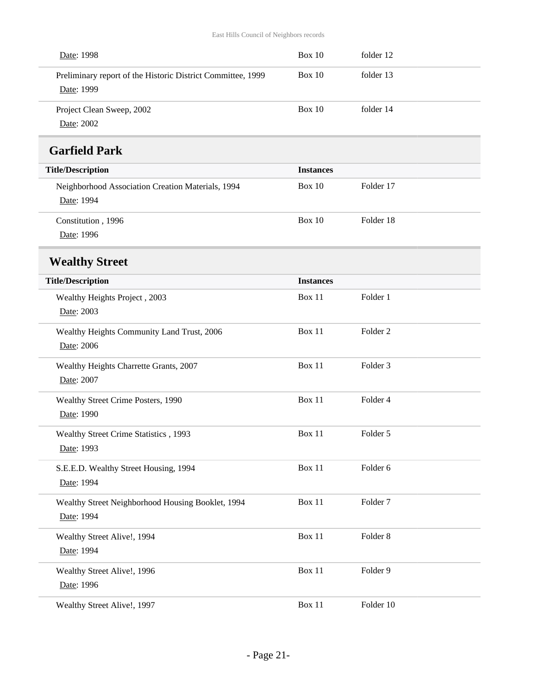<span id="page-20-1"></span><span id="page-20-0"></span>

| Date: 1998                                                                | <b>Box 10</b>    | folder 12           |
|---------------------------------------------------------------------------|------------------|---------------------|
| Preliminary report of the Historic District Committee, 1999<br>Date: 1999 | <b>Box 10</b>    | folder 13           |
| Project Clean Sweep, 2002<br>Date: 2002                                   | Box 10           | folder 14           |
| <b>Garfield Park</b>                                                      |                  |                     |
| <b>Title/Description</b>                                                  | <b>Instances</b> |                     |
| Neighborhood Association Creation Materials, 1994<br>Date: 1994           | <b>Box 10</b>    | Folder 17           |
| Constitution, 1996<br>Date: 1996                                          | <b>Box 10</b>    | Folder 18           |
| <b>Wealthy Street</b>                                                     |                  |                     |
| <b>Title/Description</b>                                                  | <b>Instances</b> |                     |
| Wealthy Heights Project, 2003<br>Date: 2003                               | Box 11           | Folder 1            |
| Wealthy Heights Community Land Trust, 2006<br>Date: 2006                  | Box 11           | Folder <sub>2</sub> |
| Wealthy Heights Charrette Grants, 2007<br>Date: 2007                      | Box 11           | Folder 3            |
| Wealthy Street Crime Posters, 1990<br>Date: 1990                          | Box 11           | Folder 4            |
| Wealthy Street Crime Statistics, 1993<br>Date: 1993                       | Box 11           | Folder 5            |
| S.E.E.D. Wealthy Street Housing, 1994<br>Date: 1994                       | Box 11           | Folder 6            |
| Wealthy Street Neighborhood Housing Booklet, 1994<br>Date: 1994           | Box 11           | Folder <sub>7</sub> |
| Wealthy Street Alive!, 1994<br>Date: 1994                                 | Box 11           | Folder 8            |
| Wealthy Street Alive!, 1996<br>Date: 1996                                 | Box 11           | Folder 9            |
| Wealthy Street Alive!, 1997                                               | Box 11           | Folder 10           |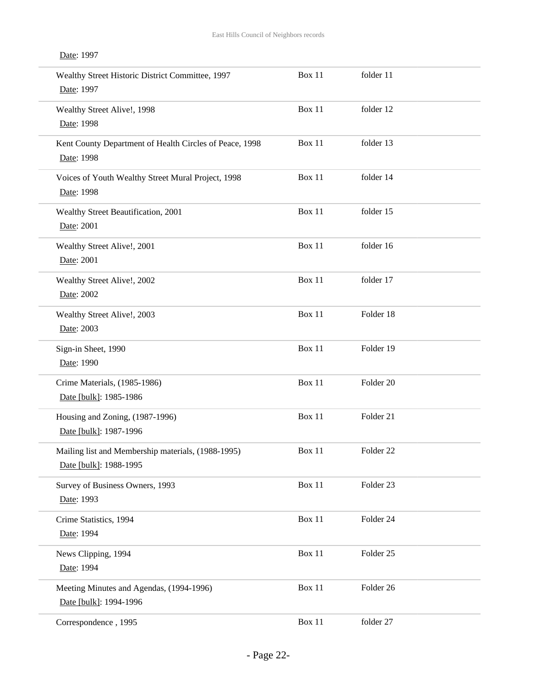| Date: 1997                                                                   |               |           |  |
|------------------------------------------------------------------------------|---------------|-----------|--|
| Wealthy Street Historic District Committee, 1997<br>Date: 1997               | Box 11        | folder 11 |  |
| Wealthy Street Alive!, 1998<br>Date: 1998                                    | Box 11        | folder 12 |  |
| Kent County Department of Health Circles of Peace, 1998<br>Date: 1998        | Box 11        | folder 13 |  |
| Voices of Youth Wealthy Street Mural Project, 1998<br>Date: 1998             | Box 11        | folder 14 |  |
| Wealthy Street Beautification, 2001<br>Date: 2001                            | Box 11        | folder 15 |  |
| Wealthy Street Alive!, 2001<br>Date: 2001                                    | Box 11        | folder 16 |  |
| Wealthy Street Alive!, 2002<br>Date: 2002                                    | Box 11        | folder 17 |  |
| Wealthy Street Alive!, 2003<br>Date: 2003                                    | Box 11        | Folder 18 |  |
| Sign-in Sheet, 1990<br>Date: 1990                                            | Box 11        | Folder 19 |  |
| Crime Materials, (1985-1986)<br>Date [bulk]: 1985-1986                       | Box 11        | Folder 20 |  |
| Housing and Zoning, (1987-1996)<br>Date [bulk]: 1987-1996                    | Box 11        | Folder 21 |  |
| Mailing list and Membership materials, (1988-1995)<br>Date [bulk]: 1988-1995 | <b>Box 11</b> | Folder 22 |  |
| Survey of Business Owners, 1993<br>Date: 1993                                | <b>Box 11</b> | Folder 23 |  |
| Crime Statistics, 1994<br>Date: 1994                                         | <b>Box 11</b> | Folder 24 |  |
| News Clipping, 1994<br>Date: 1994                                            | Box 11        | Folder 25 |  |
| Meeting Minutes and Agendas, (1994-1996)<br>Date [bulk]: 1994-1996           | <b>Box 11</b> | Folder 26 |  |
| Correspondence, 1995                                                         | Box $11$      | folder 27 |  |